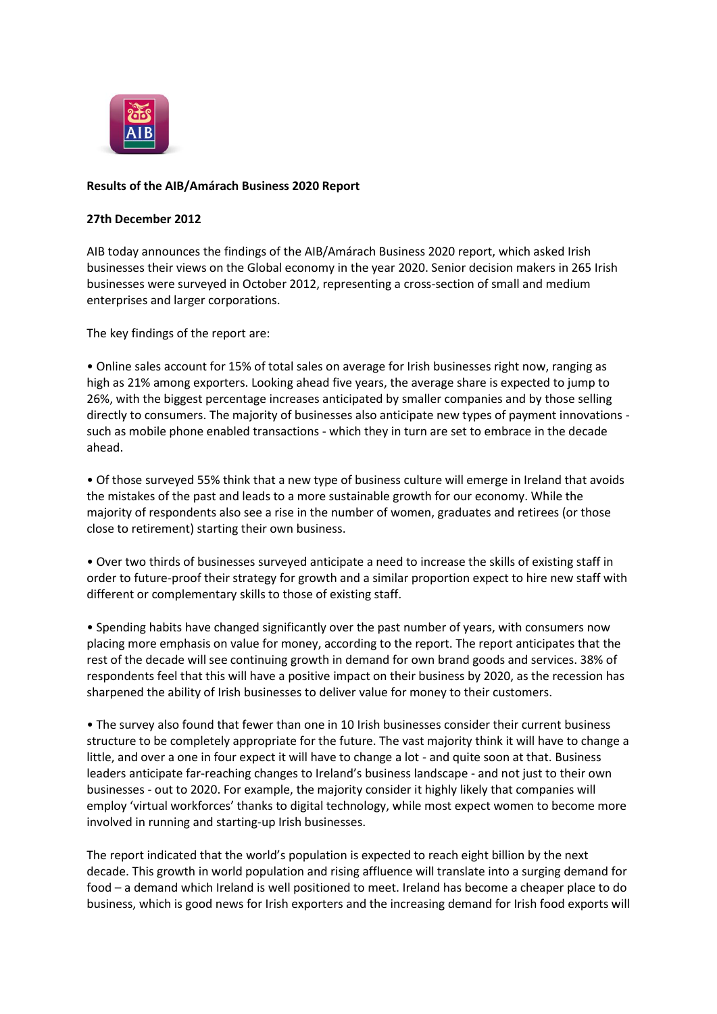

## **Results of the AIB/Amárach Business 2020 Report**

## **27th December 2012**

AIB today announces the findings of the AIB/Amárach Business 2020 report, which asked Irish businesses their views on the Global economy in the year 2020. Senior decision makers in 265 Irish businesses were surveyed in October 2012, representing a cross-section of small and medium enterprises and larger corporations.

The key findings of the report are:

• Online sales account for 15% of total sales on average for Irish businesses right now, ranging as high as 21% among exporters. Looking ahead five years, the average share is expected to jump to 26%, with the biggest percentage increases anticipated by smaller companies and by those selling directly to consumers. The majority of businesses also anticipate new types of payment innovations such as mobile phone enabled transactions - which they in turn are set to embrace in the decade ahead.

• Of those surveyed 55% think that a new type of business culture will emerge in Ireland that avoids the mistakes of the past and leads to a more sustainable growth for our economy. While the majority of respondents also see a rise in the number of women, graduates and retirees (or those close to retirement) starting their own business.

• Over two thirds of businesses surveyed anticipate a need to increase the skills of existing staff in order to future-proof their strategy for growth and a similar proportion expect to hire new staff with different or complementary skills to those of existing staff.

• Spending habits have changed significantly over the past number of years, with consumers now placing more emphasis on value for money, according to the report. The report anticipates that the rest of the decade will see continuing growth in demand for own brand goods and services. 38% of respondents feel that this will have a positive impact on their business by 2020, as the recession has sharpened the ability of Irish businesses to deliver value for money to their customers.

• The survey also found that fewer than one in 10 Irish businesses consider their current business structure to be completely appropriate for the future. The vast majority think it will have to change a little, and over a one in four expect it will have to change a lot - and quite soon at that. Business leaders anticipate far-reaching changes to Ireland's business landscape - and not just to their own businesses - out to 2020. For example, the majority consider it highly likely that companies will employ 'virtual workforces' thanks to digital technology, while most expect women to become more involved in running and starting-up Irish businesses.

The report indicated that the world's population is expected to reach eight billion by the next decade. This growth in world population and rising affluence will translate into a surging demand for food – a demand which Ireland is well positioned to meet. Ireland has become a cheaper place to do business, which is good news for Irish exporters and the increasing demand for Irish food exports will